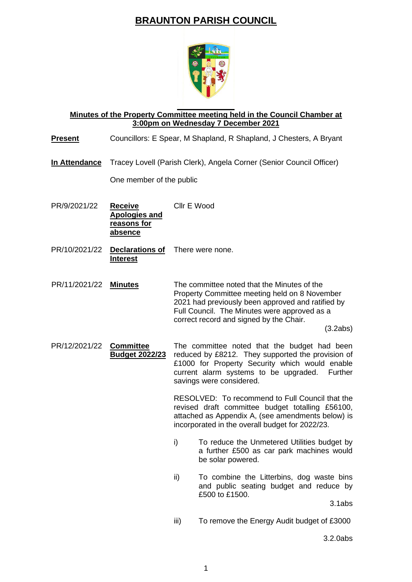## **BRAUNTON PARISH COUNCIL**



## **Minutes of the Property Committee meeting held in the Council Chamber at 3:00pm on Wednesday 7 December 2021**

## **Present** Councillors: E Spear, M Shapland, R Shapland, J Chesters, A Bryant

**In Attendance** Tracey Lovell (Parish Clerk), Angela Corner (Senior Council Officer)

One member of the public

- PR/9/2021/22 **Receive Apologies and reasons for absence** Cllr E Wood
- PR/10/2021/22 **Declarations of**  There were none. **Interest**

PR/11/2021/22 **Minutes** The committee noted that the Minutes of the Property Committee meeting held on 8 November 2021 had previously been approved and ratified by Full Council. The Minutes were approved as a correct record and signed by the Chair.

(3.2abs)

PR/12/2021/22 **Committee Budget 2022/23** The committee noted that the budget had been reduced by £8212. They supported the provision of £1000 for Property Security which would enable current alarm systems to be upgraded. Further savings were considered.

> RESOLVED: To recommend to Full Council that the revised draft committee budget totalling £56100, attached as Appendix A, (see amendments below) is incorporated in the overall budget for 2022/23.

- i) To reduce the Unmetered Utilities budget by a further £500 as car park machines would be solar powered.
- ii) To combine the Litterbins, dog waste bins and public seating budget and reduce by £500 to £1500.

3.1abs

iii) To remove the Energy Audit budget of £3000

3.2.0abs